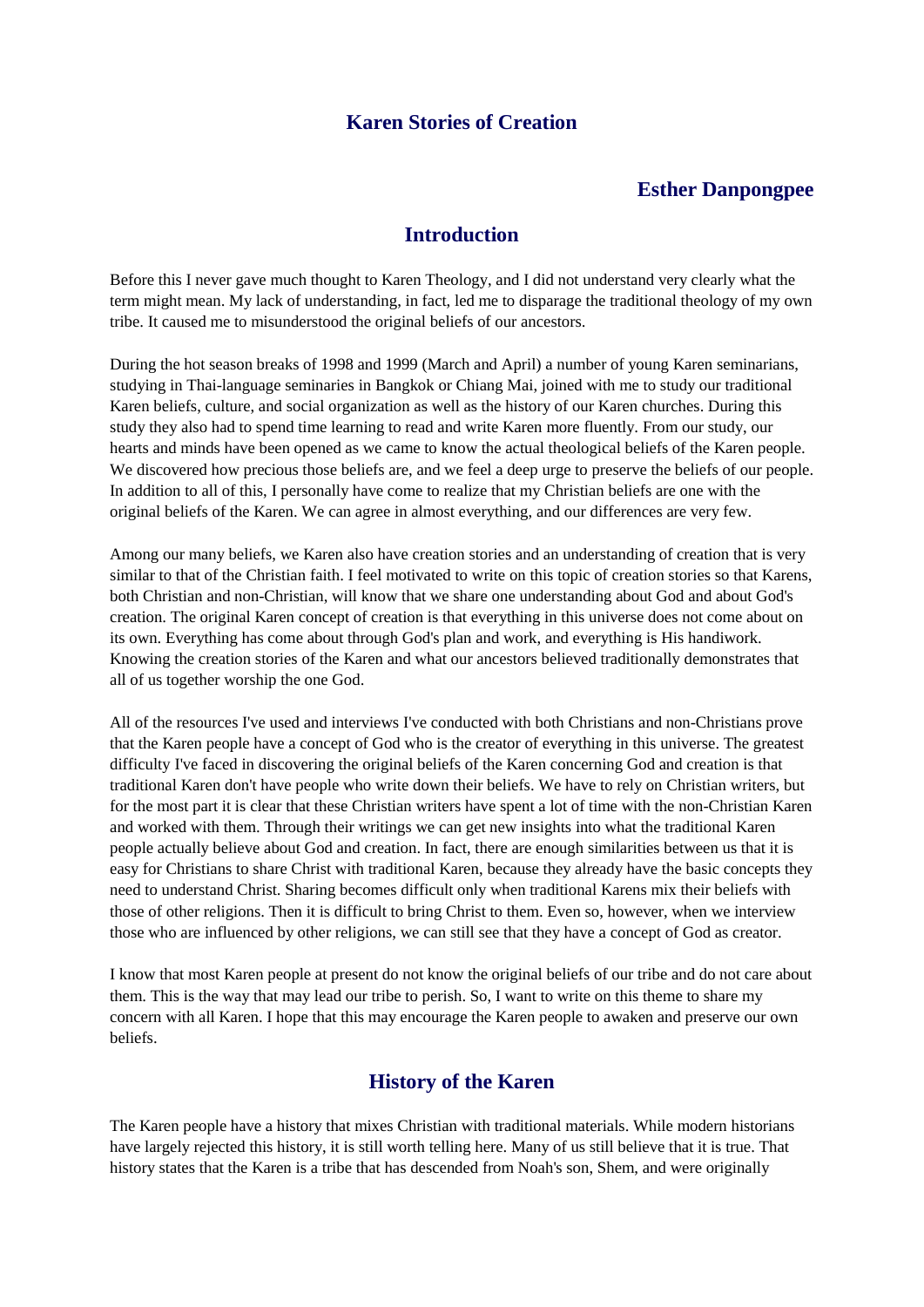### **Karen Stories of Creation**

#### **Esther Danpongpee**

#### **Introduction**

Before this I never gave much thought to Karen Theology, and I did not understand very clearly what the term might mean. My lack of understanding, in fact, led me to disparage the traditional theology of my own tribe. It caused me to misunderstood the original beliefs of our ancestors.

During the hot season breaks of 1998 and 1999 (March and April) a number of young Karen seminarians, studying in Thai-language seminaries in Bangkok or Chiang Mai, joined with me to study our traditional Karen beliefs, culture, and social organization as well as the history of our Karen churches. During this study they also had to spend time learning to read and write Karen more fluently. From our study, our hearts and minds have been opened as we came to know the actual theological beliefs of the Karen people. We discovered how precious those beliefs are, and we feel a deep urge to preserve the beliefs of our people. In addition to all of this, I personally have come to realize that my Christian beliefs are one with the original beliefs of the Karen. We can agree in almost everything, and our differences are very few.

Among our many beliefs, we Karen also have creation stories and an understanding of creation that is very similar to that of the Christian faith. I feel motivated to write on this topic of creation stories so that Karens, both Christian and non-Christian, will know that we share one understanding about God and about God's creation. The original Karen concept of creation is that everything in this universe does not come about on its own. Everything has come about through God's plan and work, and everything is His handiwork. Knowing the creation stories of the Karen and what our ancestors believed traditionally demonstrates that all of us together worship the one God.

All of the resources I've used and interviews I've conducted with both Christians and non-Christians prove that the Karen people have a concept of God who is the creator of everything in this universe. The greatest difficulty I've faced in discovering the original beliefs of the Karen concerning God and creation is that traditional Karen don't have people who write down their beliefs. We have to rely on Christian writers, but for the most part it is clear that these Christian writers have spent a lot of time with the non-Christian Karen and worked with them. Through their writings we can get new insights into what the traditional Karen people actually believe about God and creation. In fact, there are enough similarities between us that it is easy for Christians to share Christ with traditional Karen, because they already have the basic concepts they need to understand Christ. Sharing becomes difficult only when traditional Karens mix their beliefs with those of other religions. Then it is difficult to bring Christ to them. Even so, however, when we interview those who are influenced by other religions, we can still see that they have a concept of God as creator.

I know that most Karen people at present do not know the original beliefs of our tribe and do not care about them. This is the way that may lead our tribe to perish. So, I want to write on this theme to share my concern with all Karen. I hope that this may encourage the Karen people to awaken and preserve our own beliefs.

#### **History of the Karen**

The Karen people have a history that mixes Christian with traditional materials. While modern historians have largely rejected this history, it is still worth telling here. Many of us still believe that it is true. That history states that the Karen is a tribe that has descended from Noah's son, Shem, and were originally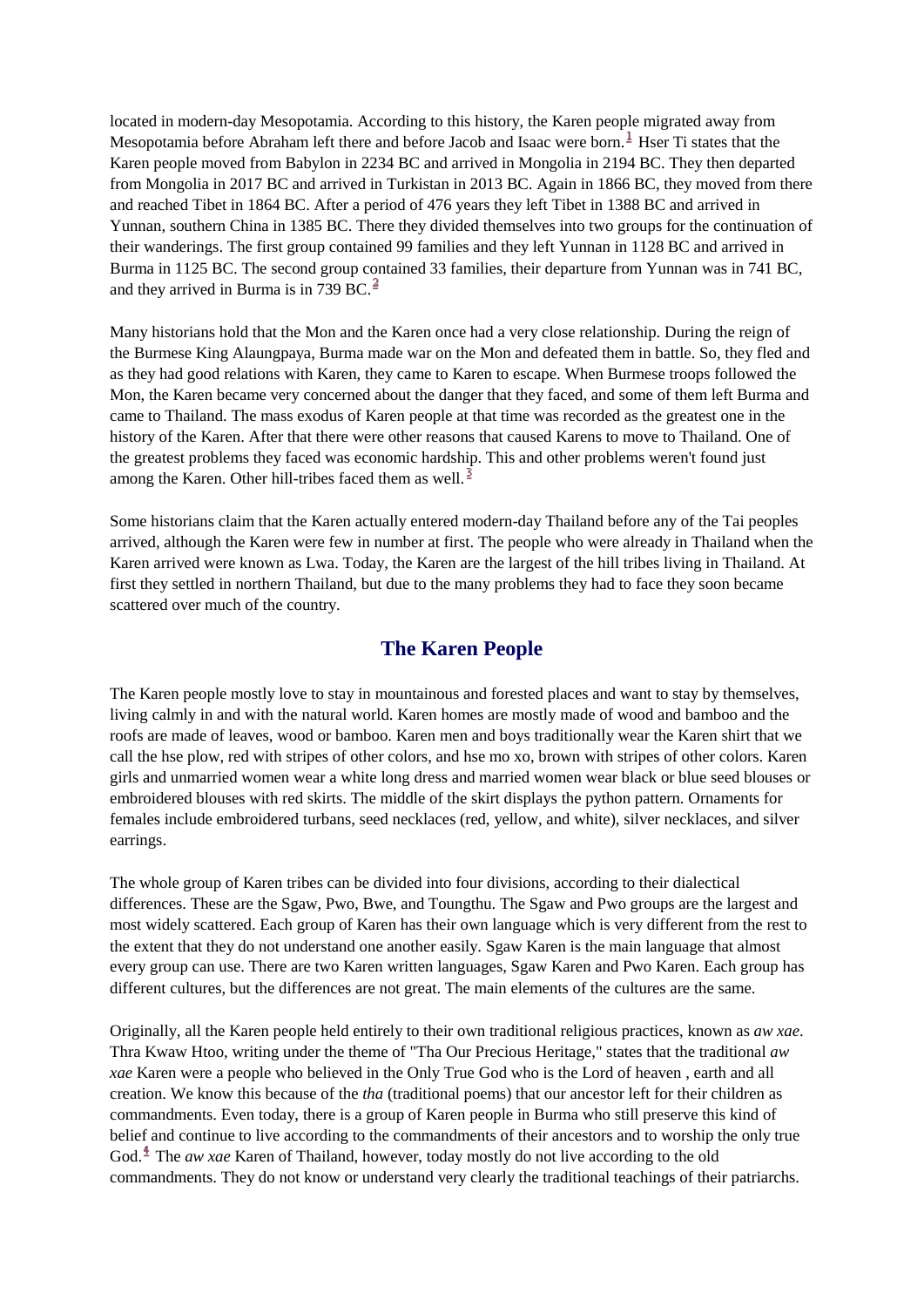located in modern-day Mesopotamia. According to this history, the Karen people migrated away from Mesopotamia before Abraham left there and before Jacob and Isaac were born. $\frac{1}{2}$  Hser Ti states that the Karen people moved from Babylon in 2234 BC and arrived in Mongolia in 2194 BC. They then departed from Mongolia in 2017 BC and arrived in Turkistan in 2013 BC. Again in 1866 BC, they moved from there and reached Tibet in 1864 BC. After a period of 476 years they left Tibet in 1388 BC and arrived in Yunnan, southern China in 1385 BC. There they divided themselves into two groups for the continuation of their wanderings. The first group contained 99 families and they left Yunnan in 1128 BC and arrived in Burma in 1125 BC. The second group contained 33 families, their departure from Yunnan was in 741 BC, and they arrived in Burma is in 739 BC. $<sup>2</sup>$ </sup>

Many historians hold that the Mon and the Karen once had a very close relationship. During the reign of the Burmese King Alaungpaya, Burma made war on the Mon and defeated them in battle. So, they fled and as they had good relations with Karen, they came to Karen to escape. When Burmese troops followed the Mon, the Karen became very concerned about the danger that they faced, and some of them left Burma and came to Thailand. The mass exodus of Karen people at that time was recorded as the greatest one in the history of the Karen. After that there were other reasons that caused Karens to move to Thailand. One of the greatest problems they faced was economic hardship. This and other problems weren't found just among the Karen. Other hill-tribes faced them as well.<sup>3</sup>

Some historians claim that the Karen actually entered modern-day Thailand before any of the Tai peoples arrived, although the Karen were few in number at first. The people who were already in Thailand when the Karen arrived were known as Lwa. Today, the Karen are the largest of the hill tribes living in Thailand. At first they settled in northern Thailand, but due to the many problems they had to face they soon became scattered over much of the country.

#### **The Karen People**

The Karen people mostly love to stay in mountainous and forested places and want to stay by themselves, living calmly in and with the natural world. Karen homes are mostly made of wood and bamboo and the roofs are made of leaves, wood or bamboo. Karen men and boys traditionally wear the Karen shirt that we call the hse plow, red with stripes of other colors, and hse mo xo, brown with stripes of other colors. Karen girls and unmarried women wear a white long dress and married women wear black or blue seed blouses or embroidered blouses with red skirts. The middle of the skirt displays the python pattern. Ornaments for females include embroidered turbans, seed necklaces (red, yellow, and white), silver necklaces, and silver earrings.

The whole group of Karen tribes can be divided into four divisions, according to their dialectical differences. These are the Sgaw, Pwo, Bwe, and Toungthu. The Sgaw and Pwo groups are the largest and most widely scattered. Each group of Karen has their own language which is very different from the rest to the extent that they do not understand one another easily. Sgaw Karen is the main language that almost every group can use. There are two Karen written languages, Sgaw Karen and Pwo Karen. Each group has different cultures, but the differences are not great. The main elements of the cultures are the same.

Originally, all the Karen people held entirely to their own traditional religious practices, known as *aw xae*. Thra Kwaw Htoo, writing under the theme of "Tha Our Precious Heritage," states that the traditional *aw xae* Karen were a people who believed in the Only True God who is the Lord of heaven , earth and all creation. We know this because of the *tha* (traditional poems) that our ancestor left for their children as commandments. Even today, there is a group of Karen people in Burma who still preserve this kind of belief and continue to live according to the commandments of their ancestors and to worship the only true God.<sup>4</sup> The *aw xae* Karen of Thailand, however, today mostly do not live according to the old commandments. They do not know or understand very clearly the traditional teachings of their patriarchs.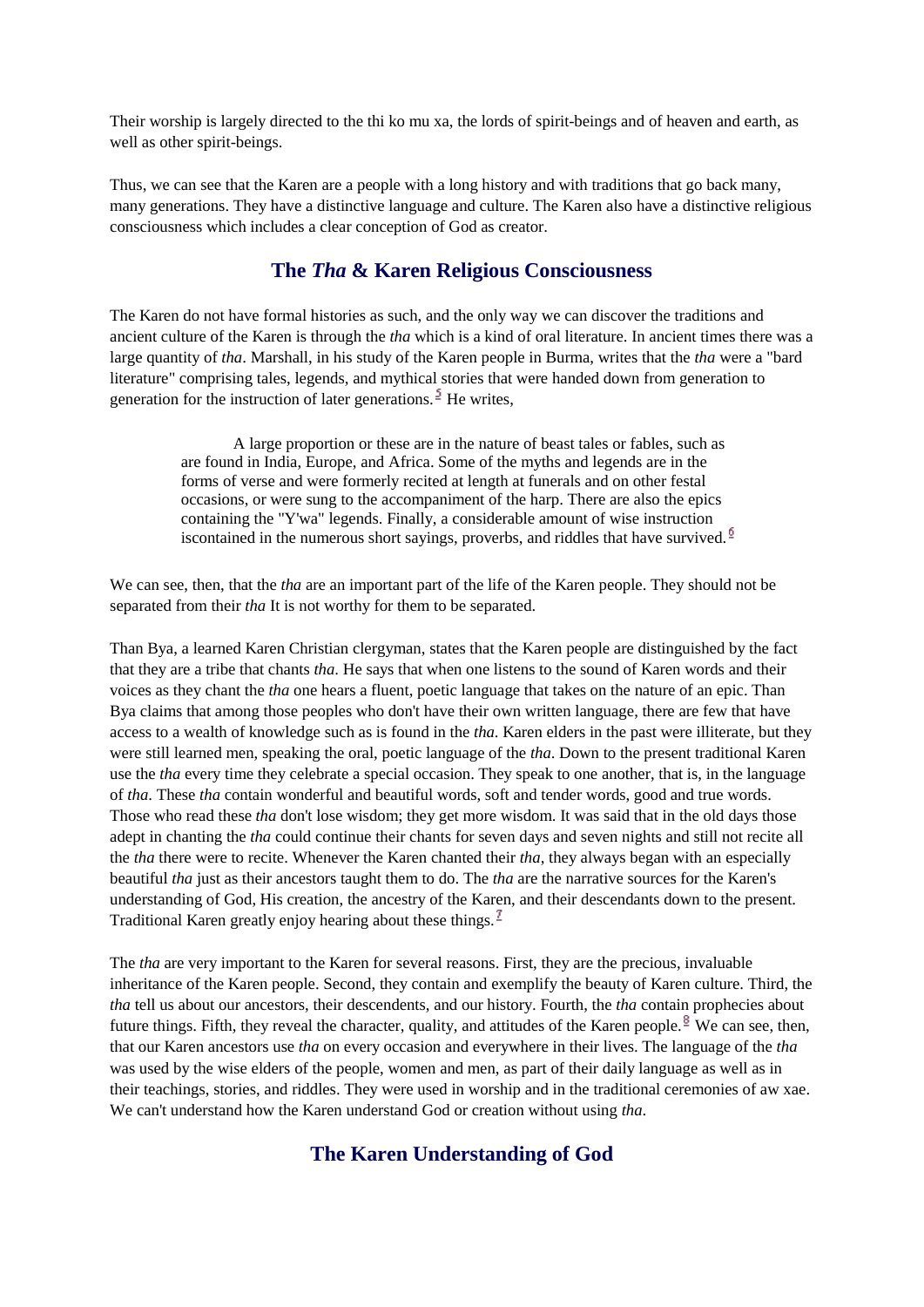Their worship is largely directed to the thi ko mu xa, the lords of spirit-beings and of heaven and earth, as well as other spirit-beings.

Thus, we can see that the Karen are a people with a long history and with traditions that go back many, many generations. They have a distinctive language and culture. The Karen also have a distinctive religious consciousness which includes a clear conception of God as creator.

#### **The** *Tha* **& Karen Religious Consciousness**

The Karen do not have formal histories as such, and the only way we can discover the traditions and ancient culture of the Karen is through the *tha* which is a kind of oral literature. In ancient times there was a large quantity of *tha*. Marshall, in his study of the Karen people in Burma, writes that the *tha* were a "bard literature" comprising tales, legends, and mythical stories that were handed down from generation to generation for the instruction of later generations.  $\frac{5}{3}$  He writes,

A large proportion or these are in the nature of beast tales or fables, such as are found in India, Europe, and Africa. Some of the myths and legends are in the forms of verse and were formerly recited at length at funerals and on other festal occasions, or were sung to the accompaniment of the harp. There are also the epics containing the "Y'wa" legends. Finally, a considerable amount of wise instruction iscontained in the numerous short sayings, proverbs, and riddles that have survived.<sup> $6$ </sup>

We can see, then, that the *tha* are an important part of the life of the Karen people. They should not be separated from their *tha* It is not worthy for them to be separated.

Than Bya, a learned Karen Christian clergyman, states that the Karen people are distinguished by the fact that they are a tribe that chants *tha*. He says that when one listens to the sound of Karen words and their voices as they chant the *tha* one hears a fluent, poetic language that takes on the nature of an epic. Than Bya claims that among those peoples who don't have their own written language, there are few that have access to a wealth of knowledge such as is found in the *tha*. Karen elders in the past were illiterate, but they were still learned men, speaking the oral, poetic language of the *tha*. Down to the present traditional Karen use the *tha* every time they celebrate a special occasion. They speak to one another, that is, in the language of *tha*. These *tha* contain wonderful and beautiful words, soft and tender words, good and true words. Those who read these *tha* don't lose wisdom; they get more wisdom. It was said that in the old days those adept in chanting the *tha* could continue their chants for seven days and seven nights and still not recite all the *tha* there were to recite. Whenever the Karen chanted their *tha*, they always began with an especially beautiful *tha* just as their ancestors taught them to do. The *tha* are the narrative sources for the Karen's understanding of God, His creation, the ancestry of the Karen, and their descendants down to the present. Traditional Karen greatly enjoy hearing about these things.  $\frac{1}{2}$ 

The *tha* are very important to the Karen for several reasons. First, they are the precious, invaluable inheritance of the Karen people. Second, they contain and exemplify the beauty of Karen culture. Third, the *tha* tell us about our ancestors, their descendents, and our history. Fourth, the *tha* contain prophecies about future things. Fifth, they reveal the character, quality, and attitudes of the Karen people. <sup>§</sup> We can see, then, that our Karen ancestors use *tha* on every occasion and everywhere in their lives. The language of the *tha* was used by the wise elders of the people, women and men, as part of their daily language as well as in their teachings, stories, and riddles. They were used in worship and in the traditional ceremonies of aw xae. We can't understand how the Karen understand God or creation without using *tha*.

# **The Karen Understanding of God**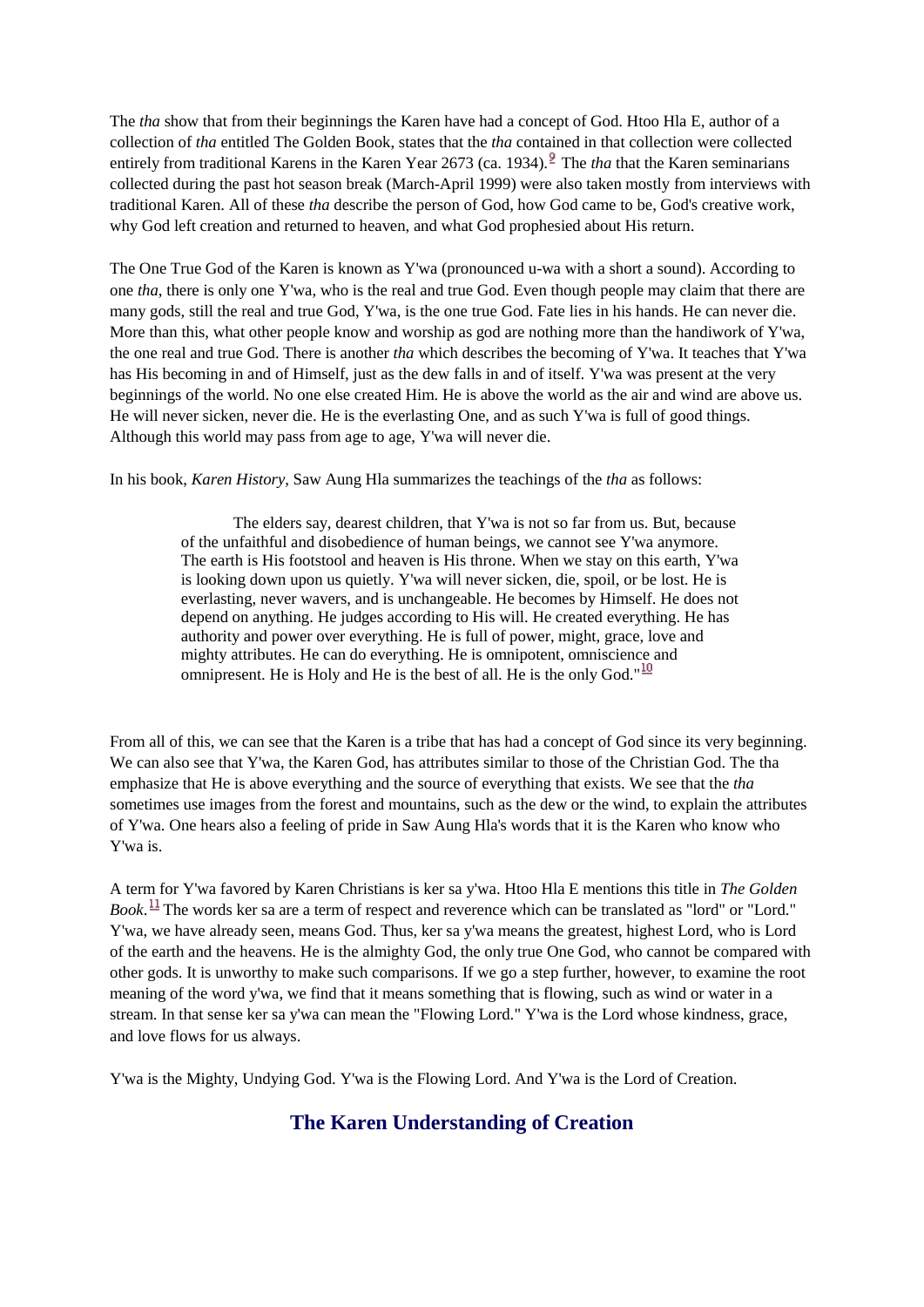The *tha* show that from their beginnings the Karen have had a concept of God. Htoo Hla E, author of a collection of *tha* entitled The Golden Book, states that the *tha* contained in that collection were collected entirely from traditional Karens in the Karen Year 2673 (ca. 1934). <sup>2</sup> The *tha* that the Karen seminarians collected during the past hot season break (March-April 1999) were also taken mostly from interviews with traditional Karen. All of these *tha* describe the person of God, how God came to be, God's creative work, why God left creation and returned to heaven, and what God prophesied about His return.

The One True God of the Karen is known as Y'wa (pronounced u-wa with a short a sound). According to one *tha*, there is only one Y'wa, who is the real and true God. Even though people may claim that there are many gods, still the real and true God, Y'wa, is the one true God. Fate lies in his hands. He can never die. More than this, what other people know and worship as god are nothing more than the handiwork of Y'wa, the one real and true God. There is another *tha* which describes the becoming of Y'wa. It teaches that Y'wa has His becoming in and of Himself, just as the dew falls in and of itself. Y'wa was present at the very beginnings of the world. No one else created Him. He is above the world as the air and wind are above us. He will never sicken, never die. He is the everlasting One, and as such Y'wa is full of good things. Although this world may pass from age to age, Y'wa will never die.

In his book, *Karen History*, Saw Aung Hla summarizes the teachings of the *tha* as follows:

The elders say, dearest children, that Y'wa is not so far from us. But, because of the unfaithful and disobedience of human beings, we cannot see Y'wa anymore. The earth is His footstool and heaven is His throne. When we stay on this earth, Y'wa is looking down upon us quietly. Y'wa will never sicken, die, spoil, or be lost. He is everlasting, never wavers, and is unchangeable. He becomes by Himself. He does not depend on anything. He judges according to His will. He created everything. He has authority and power over everything. He is full of power, might, grace, love and mighty attributes. He can do everything. He is omnipotent, omniscience and omnipresent. He is Holy and He is the best of all. He is the only God." $^{10}$ 

From all of this, we can see that the Karen is a tribe that has had a concept of God since its very beginning. We can also see that Y'wa, the Karen God, has attributes similar to those of the Christian God. The tha emphasize that He is above everything and the source of everything that exists. We see that the *tha* sometimes use images from the forest and mountains, such as the dew or the wind, to explain the attributes of Y'wa. One hears also a feeling of pride in Saw Aung Hla's words that it is the Karen who know who Y'wa is.

A term for Y'wa favored by Karen Christians is ker sa y'wa. Htoo Hla E mentions this title in *The Golden Book*.<sup>11</sup> The words ker sa are a term of respect and reverence which can be translated as "lord" or "Lord." Y'wa, we have already seen, means God. Thus, ker sa y'wa means the greatest, highest Lord, who is Lord of the earth and the heavens. He is the almighty God, the only true One God, who cannot be compared with other gods. It is unworthy to make such comparisons. If we go a step further, however, to examine the root meaning of the word y'wa, we find that it means something that is flowing, such as wind or water in a stream. In that sense ker sa y'wa can mean the "Flowing Lord." Y'wa is the Lord whose kindness, grace, and love flows for us always.

Y'wa is the Mighty, Undying God. Y'wa is the Flowing Lord. And Y'wa is the Lord of Creation.

# **The Karen Understanding of Creation**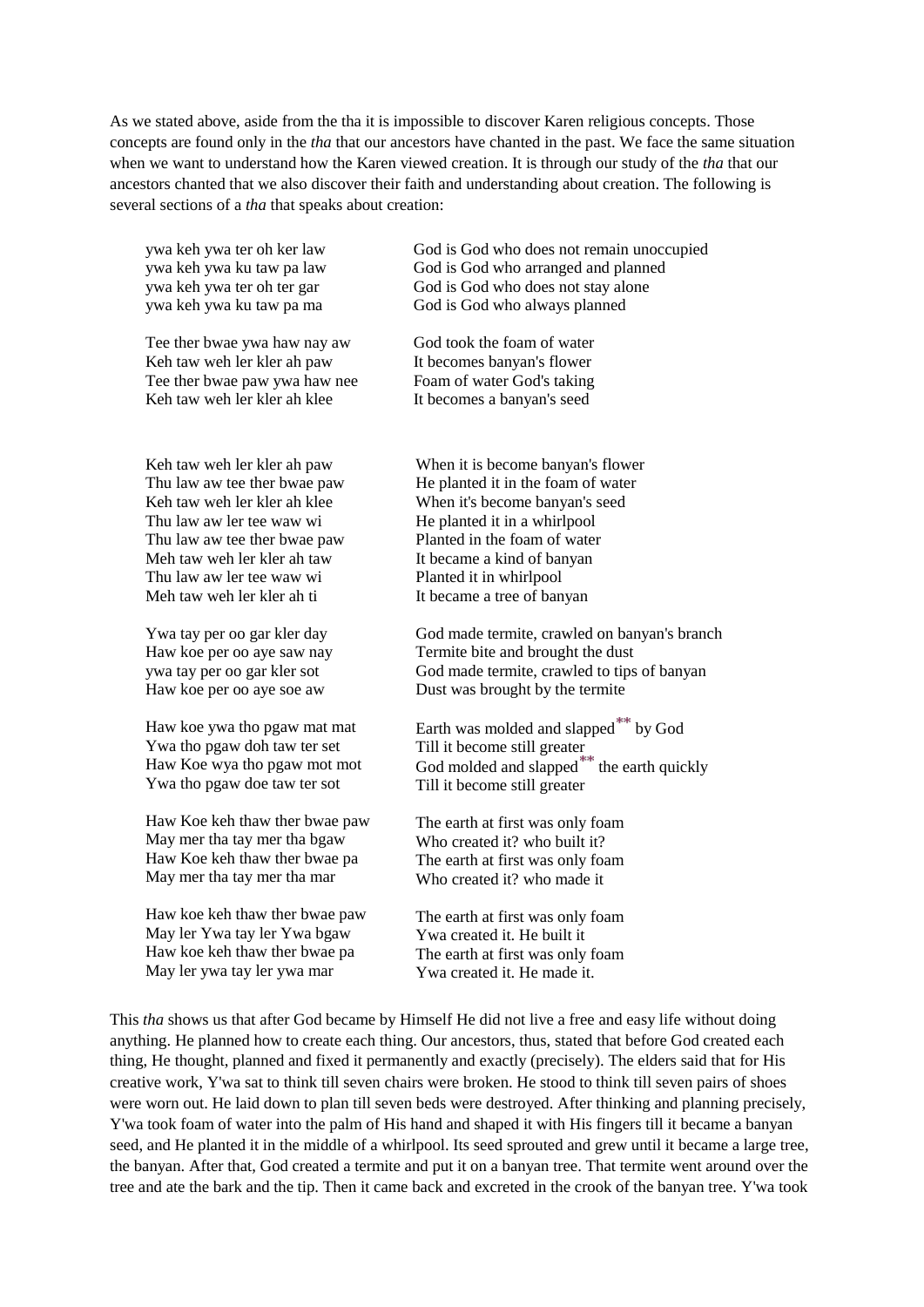As we stated above, aside from the tha it is impossible to discover Karen religious concepts. Those concepts are found only in the *tha* that our ancestors have chanted in the past. We face the same situation when we want to understand how the Karen viewed creation. It is through our study of the *tha* that our ancestors chanted that we also discover their faith and understanding about creation. The following is several sections of a *tha* that speaks about creation:

ywa keh ywa ter oh ker law ywa keh ywa ku taw pa law ywa keh ywa ter oh ter gar ywa keh ywa ku taw pa ma

Tee ther bwae ywa haw nay aw Keh taw weh ler kler ah paw Tee ther bwae paw ywa haw nee Keh taw weh ler kler ah klee

Keh taw weh ler kler ah paw Thu law aw tee ther bwae paw Keh taw weh ler kler ah klee Thu law aw ler tee waw wi Thu law aw tee ther bwae paw Meh taw weh ler kler ah taw Thu law aw ler tee waw wi Meh taw weh ler kler ah ti

Ywa tay per oo gar kler day Haw koe per oo aye saw nay ywa tay per oo gar kler sot Haw koe per oo aye soe aw

Haw koe ywa tho pgaw mat mat Ywa tho pgaw doh taw ter set Haw Koe wya tho pgaw mot mot Ywa tho pgaw doe taw ter sot

Haw Koe keh thaw ther bwae paw May mer tha tay mer tha bgaw Haw Koe keh thaw ther bwae pa May mer tha tay mer tha mar

Haw koe keh thaw ther bwae paw May ler Ywa tay ler Ywa bgaw Haw koe keh thaw ther bwae pa May ler ywa tay ler ywa mar

God is God who does not remain unoccupied God is God who arranged and planned God is God who does not stay alone God is God who always planned

God took the foam of water It becomes banyan's flower Foam of water God's taking It becomes a banyan's seed

When it is become banyan's flower He planted it in the foam of water When it's become banyan's seed He planted it in a whirlpool Planted in the foam of water It became a kind of banyan Planted it in whirlpool It became a tree of banyan

God made termite, crawled on banyan's branch Termite bite and brought the dust God made termite, crawled to tips of banyan Dust was brought by the termite

Earth was molded and slapped<sup>\*\*</sup> by God Till it become still greater God molded and slapped $\mathbb{T}^*$  the earth quickly Till it become still greater

The earth at first was only foam Who created it? who built it? The earth at first was only foam Who created it? who made it

The earth at first was only foam Ywa created it. He built it The earth at first was only foam Ywa created it. He made it.

This *tha* shows us that after God became by Himself He did not live a free and easy life without doing anything. He planned how to create each thing. Our ancestors, thus, stated that before God created each thing, He thought, planned and fixed it permanently and exactly (precisely). The elders said that for His creative work, Y'wa sat to think till seven chairs were broken. He stood to think till seven pairs of shoes were worn out. He laid down to plan till seven beds were destroyed. After thinking and planning precisely, Y'wa took foam of water into the palm of His hand and shaped it with His fingers till it became a banyan seed, and He planted it in the middle of a whirlpool. Its seed sprouted and grew until it became a large tree, the banyan. After that, God created a termite and put it on a banyan tree. That termite went around over the tree and ate the bark and the tip. Then it came back and excreted in the crook of the banyan tree. Y'wa took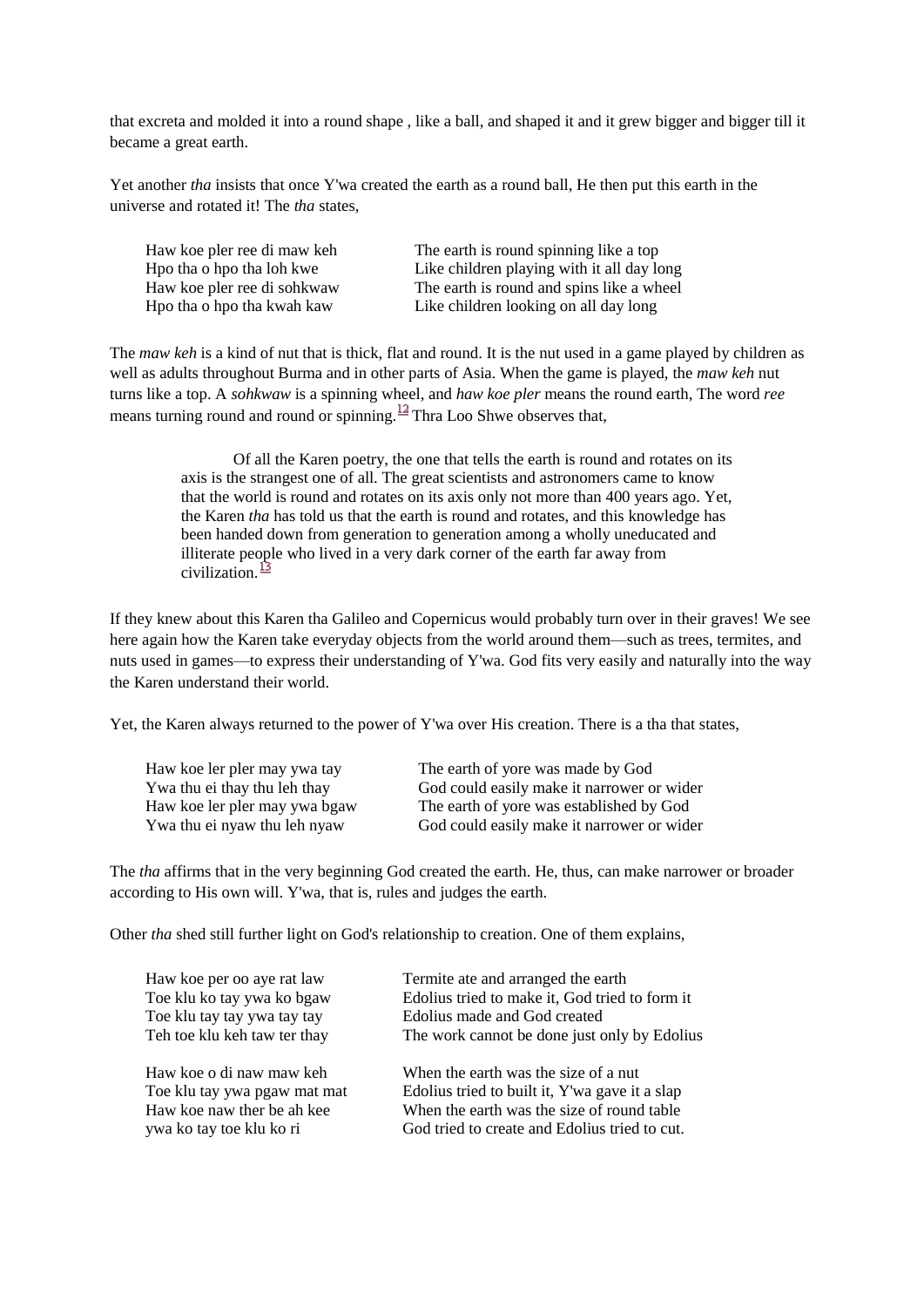that excreta and molded it into a round shape , like a ball, and shaped it and it grew bigger and bigger till it became a great earth.

Yet another *tha* insists that once Y'wa created the earth as a round ball, He then put this earth in the universe and rotated it! The *tha* states,

Haw koe pler ree di maw keh Hpo tha o hpo tha loh kwe Haw koe pler ree di sohkwaw Hpo tha o hpo tha kwah kaw

The earth is round spinning like a top Like children playing with it all day long The earth is round and spins like a wheel Like children looking on all day long

The *maw keh* is a kind of nut that is thick, flat and round. It is the nut used in a game played by children as well as adults throughout Burma and in other parts of Asia. When the game is played, the *maw keh* nut turns like a top. A *sohkwaw* is a spinning wheel, and *haw koe pler* means the round earth, The word *ree* means turning round and round or spinning.  $\frac{12}{12}$  Thra Loo Shwe observes that,

> Of all the Karen poetry, the one that tells the earth is round and rotates on its axis is the strangest one of all. The great scientists and astronomers came to know that the world is round and rotates on its axis only not more than 400 years ago. Yet, the Karen *tha* has told us that the earth is round and rotates, and this knowledge has been handed down from generation to generation among a wholly uneducated and illiterate people who lived in a very dark corner of the earth far away from civilization  $\frac{13}{2}$

If they knew about this Karen tha Galileo and Copernicus would probably turn over in their graves! We see here again how the Karen take everyday objects from the world around them—such as trees, termites, and nuts used in games—to express their understanding of Y'wa. God fits very easily and naturally into the way the Karen understand their world.

Yet, the Karen always returned to the power of Y'wa over His creation. There is a tha that states,

| Haw koe ler pler may ywa tay  | The earth of yore was made by God          |
|-------------------------------|--------------------------------------------|
| Ywa thu ei thay thu leh thay  | God could easily make it narrower or wider |
| Haw koe ler pler may ywa bgaw | The earth of yore was established by God   |
| Ywa thu ei nyaw thu leh nyaw  | God could easily make it narrower or wider |

The *tha* affirms that in the very beginning God created the earth. He, thus, can make narrower or broader according to His own will. Y'wa, that is, rules and judges the earth.

Other *tha* shed still further light on God's relationship to creation. One of them explains,

| Haw koe per oo aye rat law   | Termite ate and arranged the earth             |
|------------------------------|------------------------------------------------|
| Toe klu ko tay ywa ko bgaw   | Edolius tried to make it, God tried to form it |
| Toe klu tay tay ywa tay tay  | Edolius made and God created                   |
| Teh toe klu keh taw ter thay | The work cannot be done just only by Edolius   |
| Haw koe o di naw maw keh     | When the earth was the size of a nut           |
| Toe klu tay ywa pgaw mat mat | Edolius tried to built it, Y'wa gave it a slap |
| Haw koe naw ther be ah kee   | When the earth was the size of round table     |
| ywa ko tay toe klu ko ri     | God tried to create and Edolius tried to cut.  |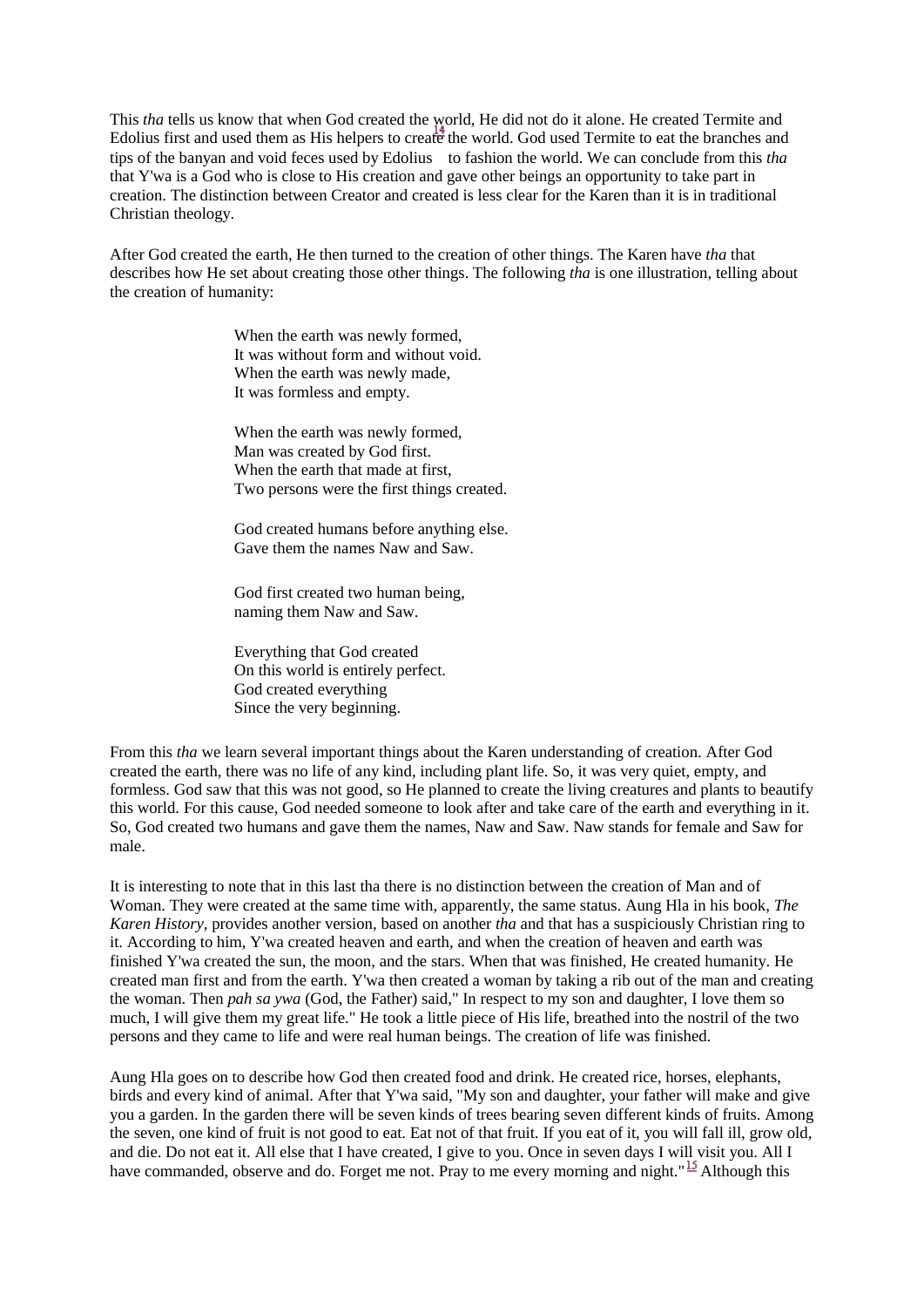This *tha* tells us know that when God created the world, He did not do it alone. He created Termite and Edolius first and used them as His helpers to crea[te](http://www.herbswanson.com/_get.php?postid=17) the world. God used Termite to eat the branches and tips of the banyan and void feces used by Edolius to fashion the world. We can conclude from this *tha* that Y'wa is a God who is close to His creation and gave other beings an opportunity to take part in creation. The distinction between Creator and created is less clear for the Karen than it is in traditional Christian theology.

After God created the earth, He then turned to the creation of other things. The Karen have *tha* that describes how He set about creating those other things. The following *tha* is one illustration, telling about the creation of humanity:

> When the earth was newly formed, It was without form and without void. When the earth was newly made, It was formless and empty.

When the earth was newly formed, Man was created by God first. When the earth that made at first, Two persons were the first things created.

God created humans before anything else. Gave them the names Naw and Saw.

God first created two human being, naming them Naw and Saw.

Everything that God created On this world is entirely perfect. God created everything Since the very beginning.

From this *tha* we learn several important things about the Karen understanding of creation. After God created the earth, there was no life of any kind, including plant life. So, it was very quiet, empty, and formless. God saw that this was not good, so He planned to create the living creatures and plants to beautify this world. For this cause, God needed someone to look after and take care of the earth and everything in it. So, God created two humans and gave them the names, Naw and Saw. Naw stands for female and Saw for male.

It is interesting to note that in this last tha there is no distinction between the creation of Man and of Woman. They were created at the same time with, apparently, the same status. Aung Hla in his book, *The Karen History*, provides another version, based on another *tha* and that has a suspiciously Christian ring to it. According to him, Y'wa created heaven and earth, and when the creation of heaven and earth was finished Y'wa created the sun, the moon, and the stars. When that was finished, He created humanity. He created man first and from the earth. Y'wa then created a woman by taking a rib out of the man and creating the woman. Then *pah sa ywa* (God, the Father) said," In respect to my son and daughter, I love them so much, I will give them my great life." He took a little piece of His life, breathed into the nostril of the two persons and they came to life and were real human beings. The creation of life was finished.

Aung Hla goes on to describe how God then created food and drink. He created rice, horses, elephants, birds and every kind of animal. After that Y'wa said, "My son and daughter, your father will make and give you a garden. In the garden there will be seven kinds of trees bearing seven different kinds of fruits. Among the seven, one kind of fruit is not good to eat. Eat not of that fruit. If you eat of it, you will fall ill, grow old, and die. Do not eat it. All else that I have created, I give to you. Once in seven days I will visit you. All I have commanded, observe and do. Forget me not. Pray to me every morning and night." <sup>15</sup> Although this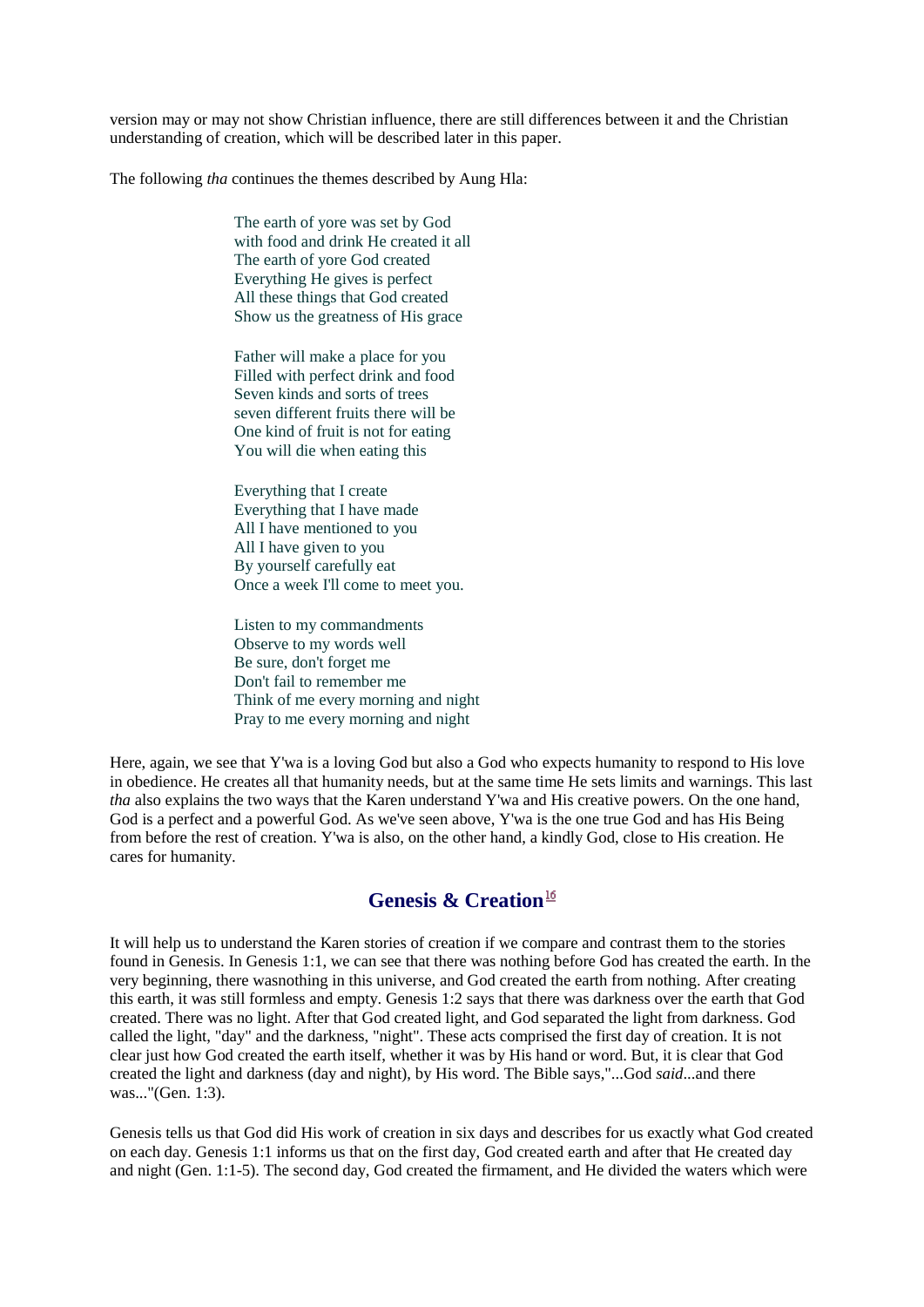version may or may not show Christian influence, there are still differences between it and the Christian understanding of creation, which will be described later in this paper.

The following *tha* continues the themes described by Aung Hla:

The earth of yore was set by God with food and drink He created it all The earth of yore God created Everything He gives is perfect All these things that God created Show us the greatness of His grace

Father will make a place for you Filled with perfect drink and food Seven kinds and sorts of trees seven different fruits there will be One kind of fruit is not for eating You will die when eating this

Everything that I create Everything that I have made All I have mentioned to you All I have given to you By yourself carefully eat Once a week I'll come to meet you.

Listen to my commandments Observe to my words well Be sure, don't forget me Don't fail to remember me Think of me every morning and night Pray to me every morning and night

Here, again, we see that Y'wa is a loving God but also a God who expects humanity to respond to His love in obedience. He creates all that humanity needs, but at the same time He sets limits and warnings. This last *tha* also explains the two ways that the Karen understand Y'wa and His creative powers. On the one hand, God is a perfect and a powerful God. As we've seen above, Y'wa is the one true God and has His Being from before the rest of creation. Y'wa is also, on the other hand, a kindly God, close to His creation. He cares for humanity.

# **Genesis & Creation**

It will help us to understand the Karen stories of creation if we compare and contrast them to the stories found in Genesis. In Genesis 1:1, we can see that there was nothing before God has created the earth. In the very beginning, there wasnothing in this universe, and God created the earth from nothing. After creating this earth, it was still formless and empty. Genesis 1:2 says that there was darkness over the earth that God created. There was no light. After that God created light, and God separated the light from darkness. God called the light, "day" and the darkness, "night". These acts comprised the first day of creation. It is not clear just how God created the earth itself, whether it was by His hand or word. But, it is clear that God created the light and darkness (day and night), by His word. The Bible says,"...God *said*...and there was..."(Gen. 1:3).

Genesis tells us that God did His work of creation in six days and describes for us exactly what God created on each day. Genesis 1:1 informs us that on the first day, God created earth and after that He created day and night (Gen. 1:1-5). The second day, God created the firmament, and He divided the waters which were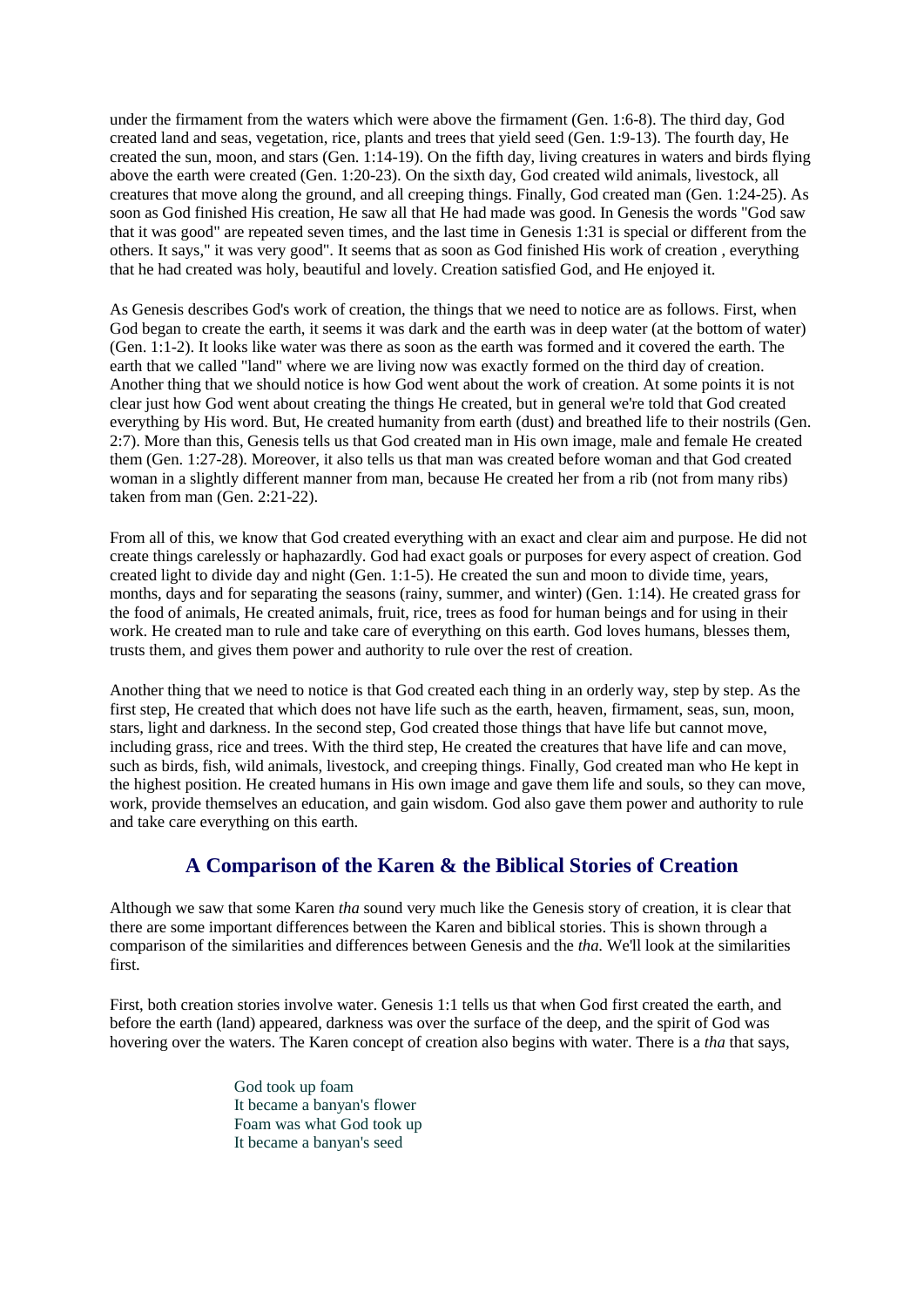under the firmament from the waters which were above the firmament (Gen. 1:6-8). The third day, God created land and seas, vegetation, rice, plants and trees that yield seed (Gen. 1:9-13). The fourth day, He created the sun, moon, and stars (Gen.  $1:14-19$ ). On the fifth day, living creatures in waters and birds flying above the earth were created (Gen. 1:20-23). On the sixth day, God created wild animals, livestock, all creatures that move along the ground, and all creeping things. Finally, God created man (Gen. 1:24-25). As soon as God finished His creation, He saw all that He had made was good. In Genesis the words "God saw that it was good" are repeated seven times, and the last time in Genesis 1:31 is special or different from the others. It says," it was very good". It seems that as soon as God finished His work of creation , everything that he had created was holy, beautiful and lovely. Creation satisfied God, and He enjoyed it.

As Genesis describes God's work of creation, the things that we need to notice are as follows. First, when God began to create the earth, it seems it was dark and the earth was in deep water (at the bottom of water) (Gen. 1:1-2). It looks like water was there as soon as the earth was formed and it covered the earth. The earth that we called "land" where we are living now was exactly formed on the third day of creation. Another thing that we should notice is how God went about the work of creation. At some points it is not clear just how God went about creating the things He created, but in general we're told that God created everything by His word. But, He created humanity from earth (dust) and breathed life to their nostrils (Gen. 2:7). More than this, Genesis tells us that God created man in His own image, male and female He created them (Gen. 1:27-28). Moreover, it also tells us that man was created before woman and that God created woman in a slightly different manner from man, because He created her from a rib (not from many ribs) taken from man (Gen. 2:21-22).

From all of this, we know that God created everything with an exact and clear aim and purpose. He did not create things carelessly or haphazardly. God had exact goals or purposes for every aspect of creation. God created light to divide day and night (Gen. 1:1-5). He created the sun and moon to divide time, years, months, days and for separating the seasons (rainy, summer, and winter) (Gen. 1:14). He created grass for the food of animals, He created animals, fruit, rice, trees as food for human beings and for using in their work. He created man to rule and take care of everything on this earth. God loves humans, blesses them, trusts them, and gives them power and authority to rule over the rest of creation.

Another thing that we need to notice is that God created each thing in an orderly way, step by step. As the first step, He created that which does not have life such as the earth, heaven, firmament, seas, sun, moon, stars, light and darkness. In the second step, God created those things that have life but cannot move, including grass, rice and trees. With the third step, He created the creatures that have life and can move, such as birds, fish, wild animals, livestock, and creeping things. Finally, God created man who He kept in the highest position. He created humans in His own image and gave them life and souls, so they can move, work, provide themselves an education, and gain wisdom. God also gave them power and authority to rule and take care everything on this earth.

# **A Comparison of the Karen & the Biblical Stories of Creation**

Although we saw that some Karen *tha* sound very much like the Genesis story of creation, it is clear that there are some important differences between the Karen and biblical stories. This is shown through a comparison of the similarities and differences between Genesis and the *tha*. We'll look at the similarities first.

First, both creation stories involve water. Genesis 1:1 tells us that when God first created the earth, and before the earth (land) appeared, darkness was over the surface of the deep, and the spirit of God was hovering over the waters. The Karen concept of creation also begins with water. There is a *tha* that says,

> God took up foam It became a banyan's flower Foam was what God took up It became a banyan's seed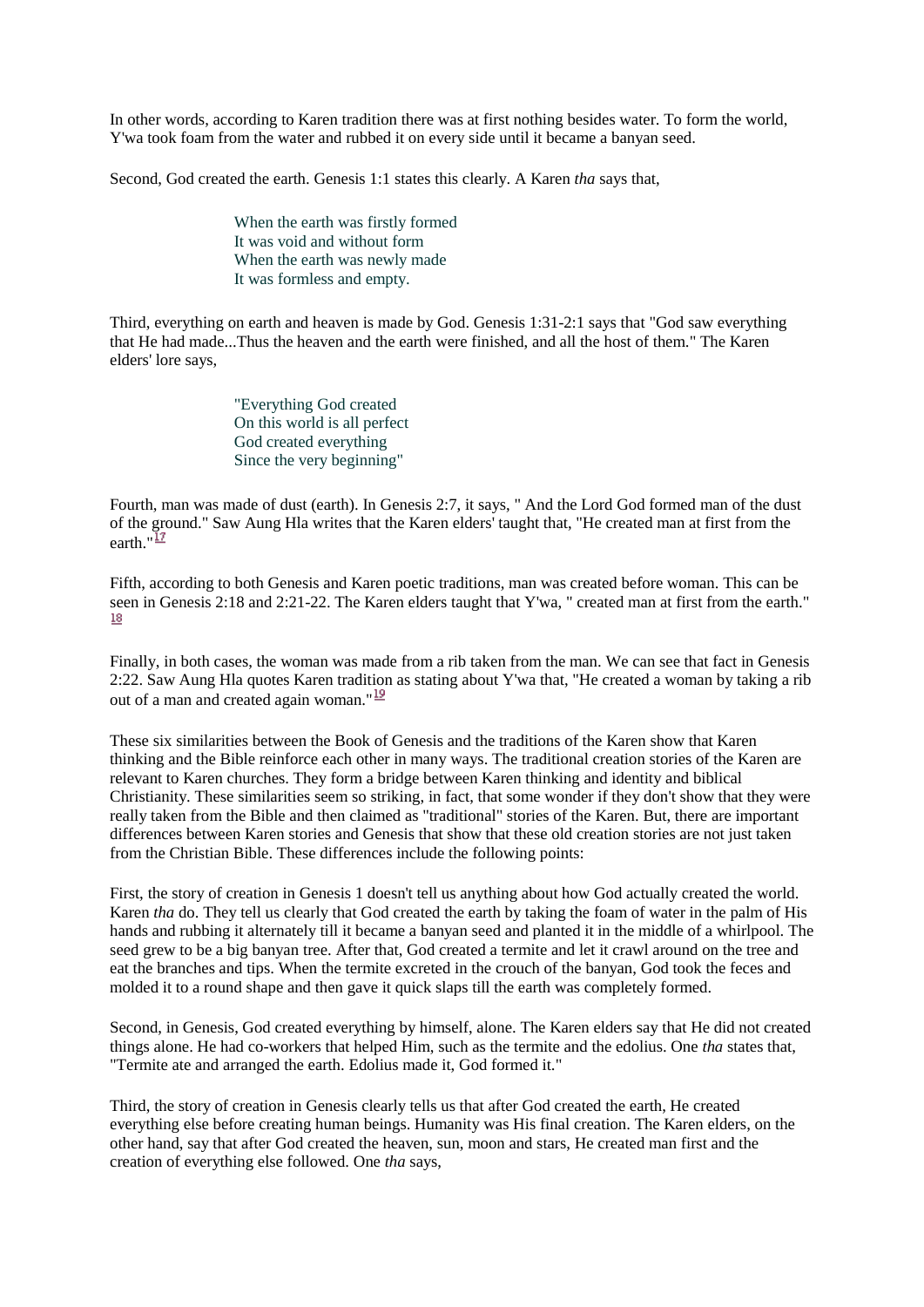In other words, according to Karen tradition there was at first nothing besides water. To form the world, Y'wa took foam from the water and rubbed it on every side until it became a banyan seed.

Second, God created the earth. Genesis 1:1 states this clearly. A Karen *tha* says that,

When the earth was firstly formed It was void and without form When the earth was newly made It was formless and empty.

Third, everything on earth and heaven is made by God. Genesis 1:31-2:1 says that "God saw everything that He had made...Thus the heaven and the earth were finished, and all the host of them." The Karen elders' lore says,

> "Everything God created On this world is all perfect God created everything Since the very beginning"

Fourth, man was made of dust (earth). In Genesis 2:7, it says, " And the Lord God formed man of the dust of the ground." Saw Aung Hla writes that the Karen elders' taught that, "He created man at first from the earth  $\frac{17}{2}$ 

Fifth, according to both Genesis and Karen poetic traditions, man was created before woman. This can be seen in Genesis 2:18 and 2:21-22. The Karen elders taught that Y'wa, " created man at first from the earth." 18

Finally, in both cases, the woman was made from a rib taken from the man. We can see that fact in Genesis 2:22. Saw Aung Hla quotes Karen tradition as stating about Y'wa that, "He created a woman by taking a rib out of a man and created again woman." $\frac{19}{16}$ 

These six similarities between the Book of Genesis and the traditions of the Karen show that Karen thinking and the Bible reinforce each other in many ways. The traditional creation stories of the Karen are relevant to Karen churches. They form a bridge between Karen thinking and identity and biblical Christianity. These similarities seem so striking, in fact, that some wonder if they don't show that they were really taken from the Bible and then claimed as "traditional" stories of the Karen. But, there are important differences between Karen stories and Genesis that show that these old creation stories are not just taken from the Christian Bible. These differences include the following points:

First, the story of creation in Genesis 1 doesn't tell us anything about how God actually created the world. Karen *tha* do. They tell us clearly that God created the earth by taking the foam of water in the palm of His hands and rubbing it alternately till it became a banyan seed and planted it in the middle of a whirlpool. The seed grew to be a big banyan tree. After that, God created a termite and let it crawl around on the tree and eat the branches and tips. When the termite excreted in the crouch of the banyan, God took the feces and molded it to a round shape and then gave it quick slaps till the earth was completely formed.

Second, in Genesis, God created everything by himself, alone. The Karen elders say that He did not created things alone. He had co-workers that helped Him, such as the termite and the edolius. One *tha* states that, "Termite ate and arranged the earth. Edolius made it, God formed it."

Third, the story of creation in Genesis clearly tells us that after God created the earth, He created everything else before creating human beings. Humanity was His final creation. The Karen elders, on the other hand, say that after God created the heaven, sun, moon and stars, He created man first and the creation of everything else followed. One *tha* says,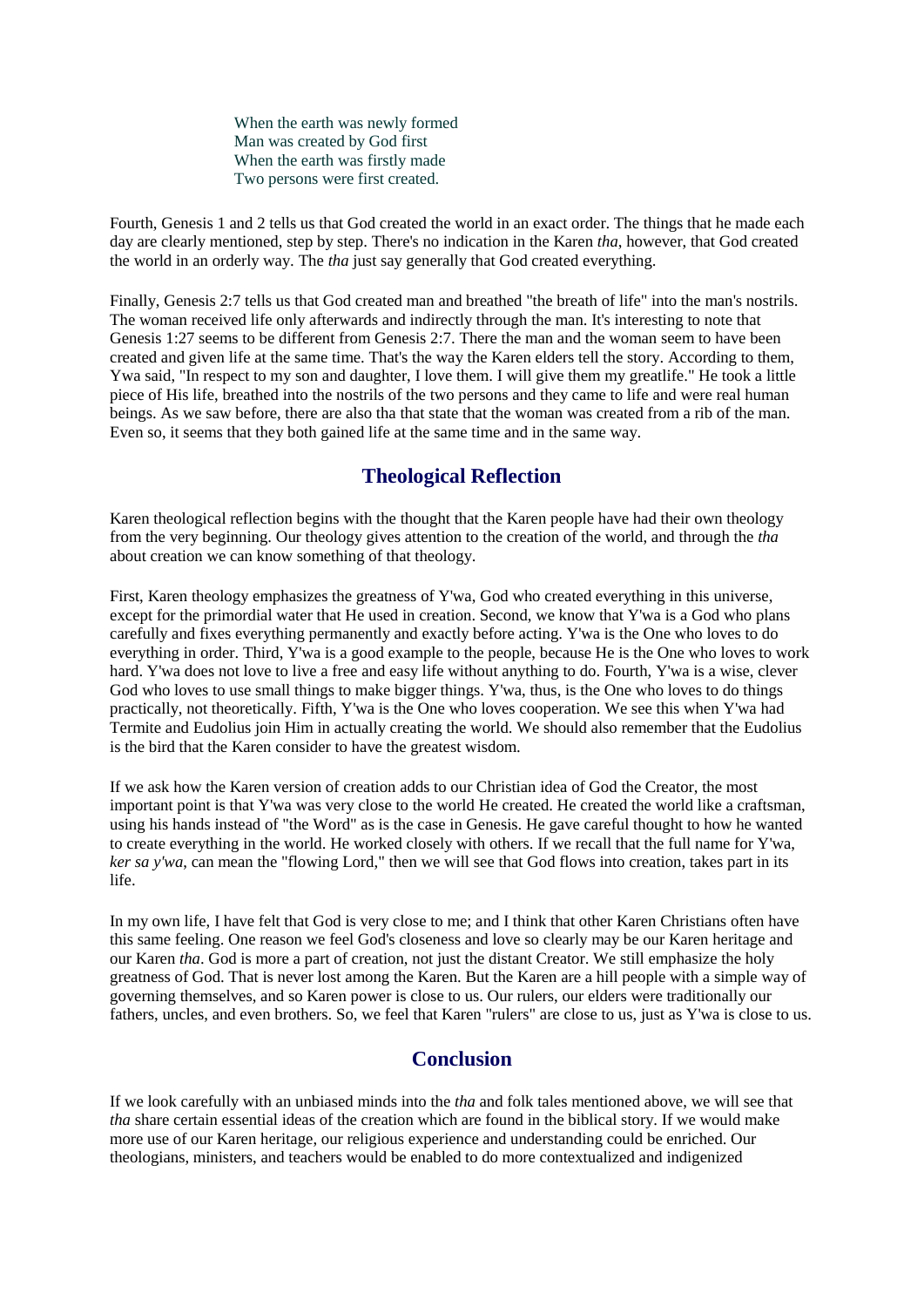When the earth was newly formed Man was created by God first When the earth was firstly made Two persons were first created.

Fourth, Genesis 1 and 2 tells us that God created the world in an exact order. The things that he made each day are clearly mentioned, step by step. There's no indication in the Karen *tha*, however, that God created the world in an orderly way. The *tha* just say generally that God created everything.

Finally, Genesis 2:7 tells us that God created man and breathed "the breath of life" into the man's nostrils. The woman received life only afterwards and indirectly through the man. It's interesting to note that Genesis 1:27 seems to be different from Genesis 2:7. There the man and the woman seem to have been created and given life at the same time. That's the way the Karen elders tell the story. According to them, Ywa said, "In respect to my son and daughter, I love them. I will give them my greatlife." He took a little piece of His life, breathed into the nostrils of the two persons and they came to life and were real human beings. As we saw before, there are also tha that state that the woman was created from a rib of the man. Even so, it seems that they both gained life at the same time and in the same way.

# **Theological Reflection**

Karen theological reflection begins with the thought that the Karen people have had their own theology from the very beginning. Our theology gives attention to the creation of the world, and through the *tha* about creation we can know something of that theology.

First, Karen theology emphasizes the greatness of Y'wa, God who created everything in this universe, except for the primordial water that He used in creation. Second, we know that Y'wa is a God who plans carefully and fixes everything permanently and exactly before acting. Y'wa is the One who loves to do everything in order. Third, Y'wa is a good example to the people, because He is the One who loves to work hard. Y'wa does not love to live a free and easy life without anything to do. Fourth, Y'wa is a wise, clever God who loves to use small things to make bigger things. Y'wa, thus, is the One who loves to do things practically, not theoretically. Fifth, Y'wa is the One who loves cooperation. We see this when Y'wa had Termite and Eudolius join Him in actually creating the world. We should also remember that the Eudolius is the bird that the Karen consider to have the greatest wisdom.

If we ask how the Karen version of creation adds to our Christian idea of God the Creator, the most important point is that Y'wa was very close to the world He created. He created the world like a craftsman, using his hands instead of "the Word" as is the case in Genesis. He gave careful thought to how he wanted to create everything in the world. He worked closely with others. If we recall that the full name for Y'wa, *ker sa y'wa*, can mean the "flowing Lord," then we will see that God flows into creation, takes part in its life.

In my own life, I have felt that God is very close to me; and I think that other Karen Christians often have this same feeling. One reason we feel God's closeness and love so clearly may be our Karen heritage and our Karen *tha*. God is more a part of creation, not just the distant Creator. We still emphasize the holy greatness of God. That is never lost among the Karen. But the Karen are a hill people with a simple way of governing themselves, and so Karen power is close to us. Our rulers, our elders were traditionally our fathers, uncles, and even brothers. So, we feel that Karen "rulers" are close to us, just as Y'wa is close to us.

# **Conclusion**

If we look carefully with an unbiased minds into the *tha* and folk tales mentioned above, we will see that *tha* share certain essential ideas of the creation which are found in the biblical story. If we would make more use of our Karen heritage, our religious experience and understanding could be enriched. Our theologians, ministers, and teachers would be enabled to do more contextualized and indigenized